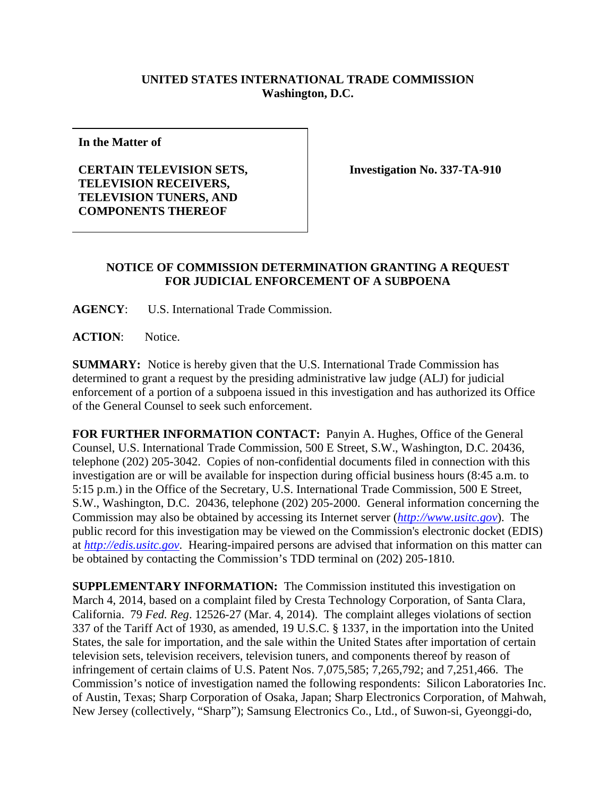## **UNITED STATES INTERNATIONAL TRADE COMMISSION Washington, D.C.**

**In the Matter of** 

**CERTAIN TELEVISION SETS, TELEVISION RECEIVERS, TELEVISION TUNERS, AND COMPONENTS THEREOF** 

**Investigation No. 337-TA-910** 

## **NOTICE OF COMMISSION DETERMINATION GRANTING A REQUEST FOR JUDICIAL ENFORCEMENT OF A SUBPOENA**

**AGENCY**: U.S. International Trade Commission.

ACTION: Notice.

**SUMMARY:** Notice is hereby given that the U.S. International Trade Commission has determined to grant a request by the presiding administrative law judge (ALJ) for judicial enforcement of a portion of a subpoena issued in this investigation and has authorized its Office of the General Counsel to seek such enforcement.

**FOR FURTHER INFORMATION CONTACT:** Panyin A. Hughes, Office of the General Counsel, U.S. International Trade Commission, 500 E Street, S.W., Washington, D.C. 20436, telephone (202) 205-3042. Copies of non-confidential documents filed in connection with this investigation are or will be available for inspection during official business hours (8:45 a.m. to 5:15 p.m.) in the Office of the Secretary, U.S. International Trade Commission, 500 E Street, S.W., Washington, D.C. 20436, telephone (202) 205-2000. General information concerning the Commission may also be obtained by accessing its Internet server (*http://www.usitc.gov*). The public record for this investigation may be viewed on the Commission's electronic docket (EDIS) at *http://edis.usitc.gov*. Hearing-impaired persons are advised that information on this matter can be obtained by contacting the Commission's TDD terminal on (202) 205-1810.

**SUPPLEMENTARY INFORMATION:** The Commission instituted this investigation on March 4, 2014, based on a complaint filed by Cresta Technology Corporation, of Santa Clara, California. 79 *Fed. Reg*. 12526-27 (Mar. 4, 2014). The complaint alleges violations of section 337 of the Tariff Act of 1930, as amended, 19 U.S.C. § 1337, in the importation into the United States, the sale for importation, and the sale within the United States after importation of certain television sets, television receivers, television tuners, and components thereof by reason of infringement of certain claims of U.S. Patent Nos. 7,075,585; 7,265,792; and 7,251,466. The Commission's notice of investigation named the following respondents: Silicon Laboratories Inc. of Austin, Texas; Sharp Corporation of Osaka, Japan; Sharp Electronics Corporation, of Mahwah, New Jersey (collectively, "Sharp"); Samsung Electronics Co., Ltd., of Suwon-si, Gyeonggi-do,